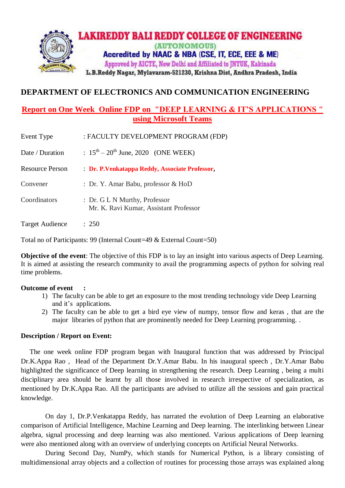

## **DEPARTMENT OF ELECTRONICS AND COMMUNICATION ENGINEERING**

## **Report on One Week Online FDP on "DEEP LEARNING & IT'S APPLICATIONS " using Microsoft Teams**

| Event Type             | : FACULTY DEVELOPMENT PROGRAM (FDP)                                     |
|------------------------|-------------------------------------------------------------------------|
| Date / Duration        | : $15^{\text{th}} - 20^{\text{th}}$ June, 2020 (ONE WEEK)               |
| <b>Resource Person</b> | : Dr. P. Venkatappa Reddy, Associate Professor,                         |
| Convener               | : Dr. Y. Amar Babu, professor & HoD                                     |
| Coordinators           | : Dr. G L N Murthy, Professor<br>Mr. K. Ravi Kumar, Assistant Professor |
| <b>Target Audience</b> | : 250                                                                   |

Total no of Participants: 99 (Internal Count=49 & External Count=50)

**Objective of the event**: The objective of this FDP is to lay an insight into various aspects of Deep Learning. It is aimed at assisting the research community to avail the programming aspects of python for solving real time problems.

## **Outcome of event :**

- 1) The faculty can be able to get an exposure to the most trending technology vide Deep Learning and it's applications.
- 2) The faculty can be able to get a bird eye view of numpy, tensor flow and keras , that are the major libraries of python that are prominently needed for Deep Learning programming. .

## **Description / Report on Event:**

 The one week online FDP program began with Inaugural function that was addressed by Principal Dr.K.Appa Rao , Head of the Department Dr.Y.Amar Babu. In his inaugural speech , Dr.Y.Amar Babu highlighted the significance of Deep learning in strengthening the research. Deep Learning , being a multi disciplinary area should be learnt by all those involved in research irrespective of specialization, as mentioned by Dr.K.Appa Rao. All the participants are advised to utilize all the sessions and gain practical knowledge.

 On day 1, Dr.P.Venkatappa Reddy, has narrated the evolution of Deep Learning an elaborative comparison of Artificial Intelligence, Machine Learning and Deep learning. The interlinking between Linear algebra, signal processing and deep learning was also mentioned. Various applications of Deep learning were also mentioned along with an overview of underlying concepts on Artificial Neural Networks.

 During Second Day, NumPy, which stands for Numerical Python, is a library consisting of multidimensional array objects and a collection of routines for processing those arrays was explained along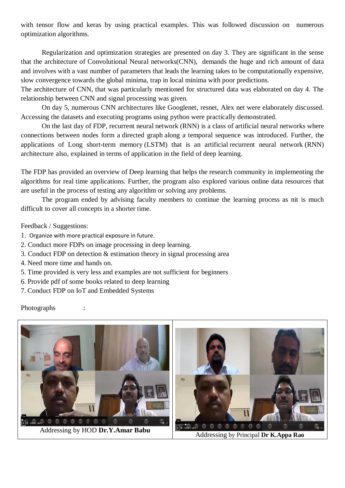with tensor flow and keras by using practical examples. This was followed discussion on numerous optimization algorithms.

Regularization and optimization strategies are presented on day 3. They are significant in the sense that the architecture of Convolutional Neural networks(CNN), demands the huge and rich amount of data and involves with a vast number of parameters that leads the learning takes to be computationally expensive, slow convergence towards the global minima, trap in local minima with poor predictions.

The architecture of CNN, that was particularly mentioned for structured data was elaborated on day 4. The relationship between CNN and signal processing was given.

On day 5, numerous CNN architectures like Googlenet, resnet, Alex net were elaborately discussed. Accessing the datasets and executing programs using python were practically demonstrated.

On the last day of FDP, recurrent neural network (RNN) is a class of [artificial neural networks](https://en.wikipedia.org/wiki/Artificial_neural_network) where connections between nodes form a [directed graph](https://en.wikipedia.org/wiki/Directed_graph) along a temporal sequence was introduced. Further, the applications of Long short-term memory (LSTM) that is an artificial [recurrent neural network](https://en.wikipedia.org/wiki/Recurrent_neural_network) (RNN) architecture also, explained in terms of application in the field of [deep learning.](https://en.wikipedia.org/wiki/Deep_learning)

The FDP has provided an overview of Deep learning that helps the research community in implementing the algorithms for real time applications. Further, the program also explored various online data resources that are useful in the process of testing any algorithm or solving any problems.

The program ended by advising faculty members to continue the learning process as nit is much difficult to cover all concepts in a shorter time.

Feedback / Suggestions:

- 1. Organize with more practical exposure in future.
- 2. Conduct more FDPs on image processing in deep learning.
- 3. Conduct FDP on detection & estimation theory in signal processing area
- 4. Need more time and hands on.
- 5. Time provided is very less and examples are not sufficient for beginners
- 6. Provide pdf of some books related to deep learning
- 7. Conduct FDP on IoT and Embedded Systems

Photographs :